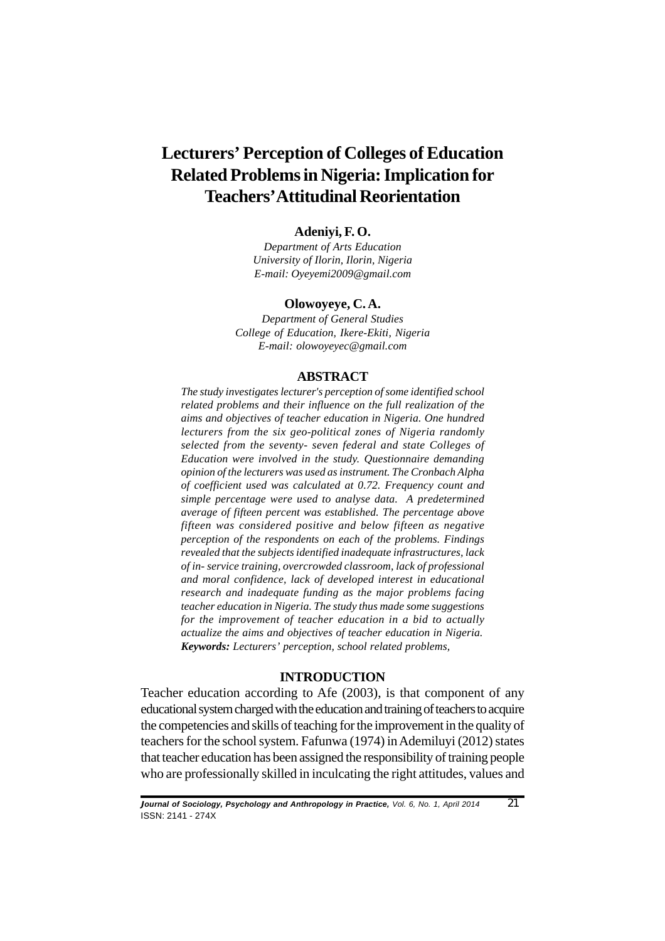# **Lecturers' Perception of Colleges of Education Related Problems in Nigeria: Implication for Teachers' Attitudinal Reorientation**

## **Adeniyi, F. O.**

*Department of Arts Education University of Ilorin, Ilorin, Nigeria E-mail: Oyeyemi2009@gmail.com*

#### **Olowoyeye, C. A.**

*Department of General Studies College of Education, Ikere-Ekiti, Nigeria E-mail: olowoyeyec@gmail.com*

#### **ABSTRACT**

*The study investigates lecturer's perception of some identified school related problems and their influence on the full realization of the aims and objectives of teacher education in Nigeria. One hundred lecturers from the six geo-political zones of Nigeria randomly selected from the seventy- seven federal and state Colleges of Education were involved in the study. Questionnaire demanding opinion of the lecturers was used as instrument. The Cronbach Alpha of coefficient used was calculated at 0.72. Frequency count and simple percentage were used to analyse data. A predetermined average of fifteen percent was established. The percentage above fifteen was considered positive and below fifteen as negative perception of the respondents on each of the problems. Findings revealed that the subjects identified inadequate infrastructures, lack of in- service training, overcrowded classroom, lack of professional and moral confidence, lack of developed interest in educational research and inadequate funding as the major problems facing teacher education in Nigeria. The study thus made some suggestions for the improvement of teacher education in a bid to actually actualize the aims and objectives of teacher education in Nigeria. Keywords: Lecturers' perception, school related problems,*

## **INTRODUCTION**

Teacher education according to Afe (2003), is that component of any educational system charged with the education and training of teachers to acquire the competencies and skills of teaching for the improvement in the quality of teachers for the school system. Fafunwa (1974) in Ademiluyi (2012) states that teacher education has been assigned the responsibility of training people who are professionally skilled in inculcating the right attitudes, values and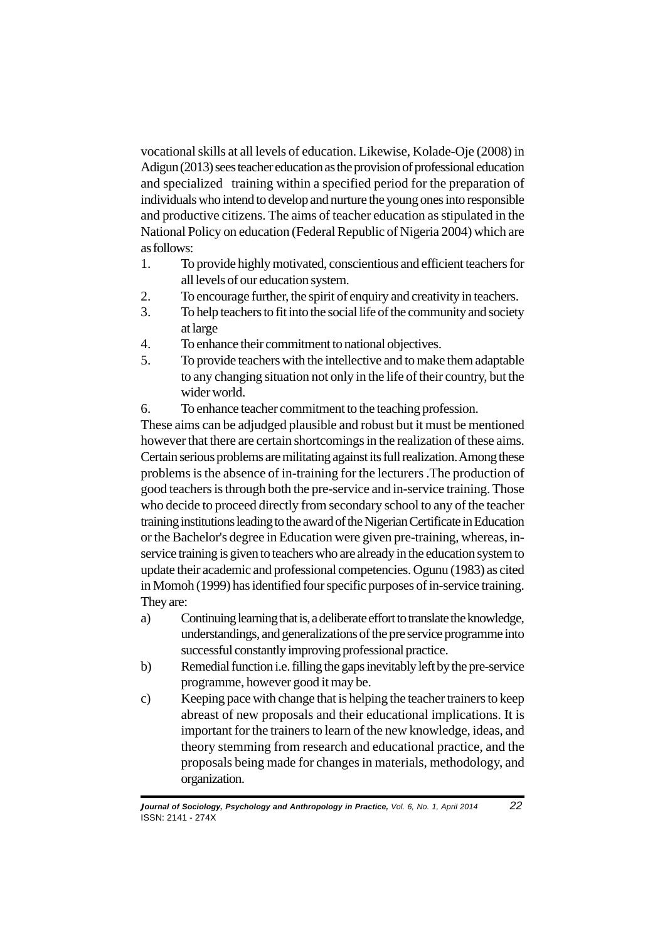vocational skills at all levels of education. Likewise, Kolade-Oje (2008) in Adigun (2013) sees teacher education as the provision of professional education and specialized training within a specified period for the preparation of individuals who intend to develop and nurture the young ones into responsible and productive citizens. The aims of teacher education as stipulated in the National Policy on education (Federal Republic of Nigeria 2004) which are as follows:

- 1. To provide highly motivated, conscientious and efficient teachers for all levels of our education system.
- 2. To encourage further, the spirit of enquiry and creativity in teachers.
- 3. To help teachers to fit into the social life of the community and society at large
- 4. To enhance their commitment to national objectives.
- 5. To provide teachers with the intellective and to make them adaptable to any changing situation not only in the life of their country, but the wider world.
- 6. To enhance teacher commitment to the teaching profession.

These aims can be adjudged plausible and robust but it must be mentioned however that there are certain shortcomings in the realization of these aims. Certain serious problems are militating against its full realization. Among these problems is the absence of in-training for the lecturers .The production of good teachers is through both the pre-service and in-service training. Those who decide to proceed directly from secondary school to any of the teacher training institutions leading to the award of the Nigerian Certificate in Education or the Bachelor's degree in Education were given pre-training, whereas, inservice training is given to teachers who are already in the education system to update their academic and professional competencies. Ogunu (1983) as cited in Momoh (1999) has identified four specific purposes of in-service training. They are:

- a) Continuing learning that is, a deliberate effort to translate the knowledge, understandings, and generalizations of the pre service programme into successful constantly improving professional practice.
- b) Remedial function i.e. filling the gaps inevitably left by the pre-service programme, however good it may be.
- c) Keeping pace with change that is helping the teacher trainers to keep abreast of new proposals and their educational implications. It is important for the trainers to learn of the new knowledge, ideas, and theory stemming from research and educational practice, and the proposals being made for changes in materials, methodology, and organization.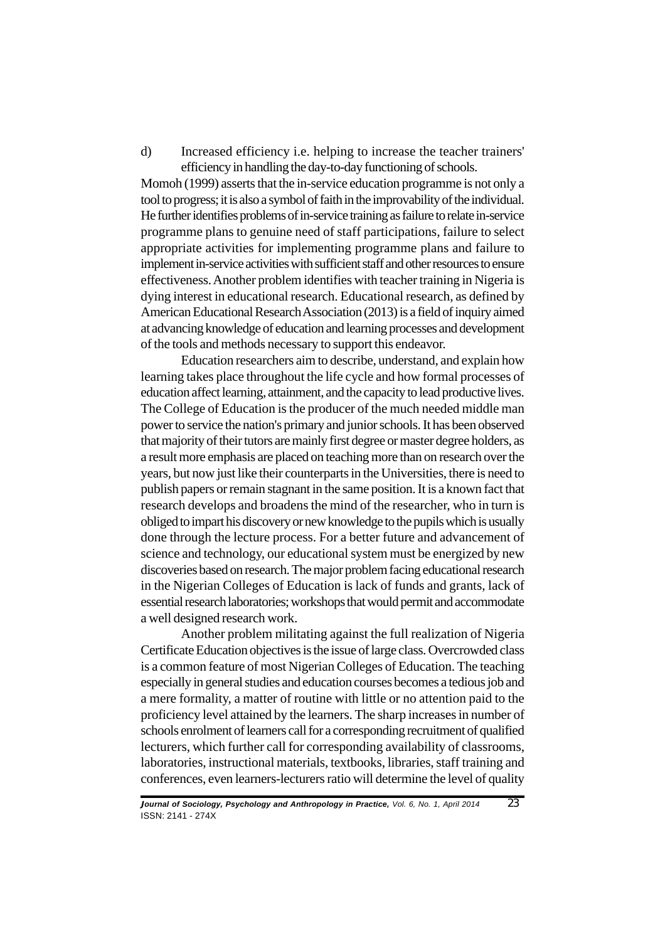d) Increased efficiency i.e. helping to increase the teacher trainers' efficiency in handling the day-to-day functioning of schools.

Momoh (1999) asserts that the in-service education programme is not only a tool to progress; it is also a symbol of faith in the improvability of the individual. He further identifies problems of in-service training as failure to relate in-service programme plans to genuine need of staff participations, failure to select appropriate activities for implementing programme plans and failure to implement in-service activities with sufficient staff and other resources to ensure effectiveness. Another problem identifies with teacher training in Nigeria is dying interest in educational research. Educational research, as defined by American Educational Research Association (2013) is a field of inquiry aimed at advancing knowledge of education and learning processes and development of the tools and methods necessary to support this endeavor.

Education researchers aim to describe, understand, and explain how learning takes place throughout the life cycle and how formal processes of education affect learning, attainment, and the capacity to lead productive lives. The College of Education is the producer of the much needed middle man power to service the nation's primary and junior schools. It has been observed that majority of their tutors are mainly first degree or master degree holders, as a result more emphasis are placed on teaching more than on research over the years, but now just like their counterparts in the Universities, there is need to publish papers or remain stagnant in the same position. It is a known fact that research develops and broadens the mind of the researcher, who in turn is obliged to impart his discovery or new knowledge to the pupils which is usually done through the lecture process. For a better future and advancement of science and technology, our educational system must be energized by new discoveries based on research. The major problem facing educational research in the Nigerian Colleges of Education is lack of funds and grants, lack of essential research laboratories; workshops that would permit and accommodate a well designed research work.

Another problem militating against the full realization of Nigeria Certificate Education objectives is the issue of large class. Overcrowded class is a common feature of most Nigerian Colleges of Education. The teaching especially in general studies and education courses becomes a tedious job and a mere formality, a matter of routine with little or no attention paid to the proficiency level attained by the learners. The sharp increases in number of schools enrolment of learners call for a corresponding recruitment of qualified lecturers, which further call for corresponding availability of classrooms, laboratories, instructional materials, textbooks, libraries, staff training and conferences, even learners-lecturers ratio will determine the level of quality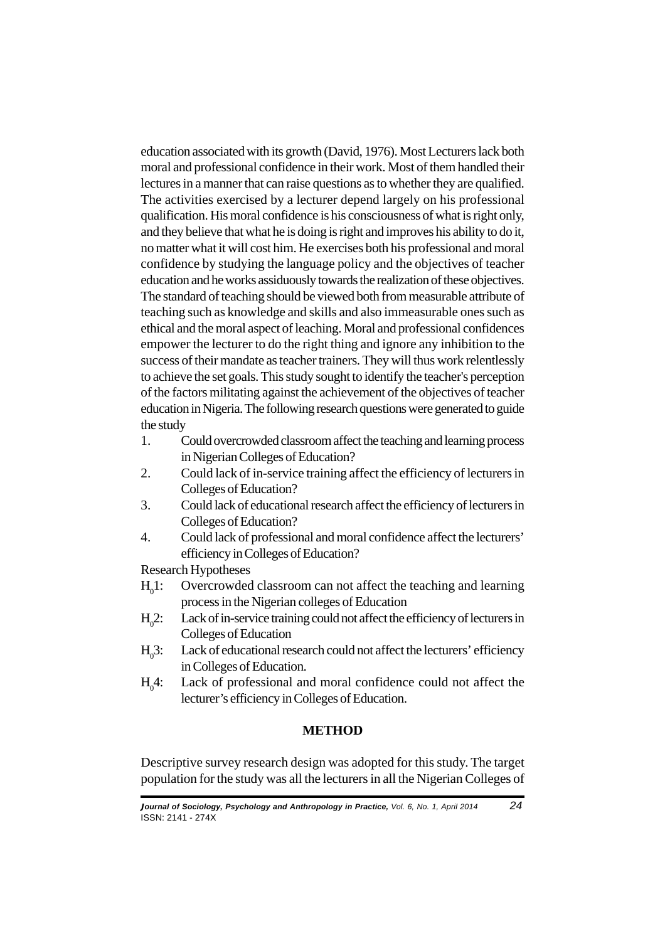education associated with its growth (David, 1976). Most Lecturers lack both moral and professional confidence in their work. Most of them handled their lectures in a manner that can raise questions as to whether they are qualified. The activities exercised by a lecturer depend largely on his professional qualification. His moral confidence is his consciousness of what is right only, and they believe that what he is doing is right and improves his ability to do it, no matter what it will cost him. He exercises both his professional and moral confidence by studying the language policy and the objectives of teacher education and he works assiduously towards the realization of these objectives. The standard of teaching should be viewed both from measurable attribute of teaching such as knowledge and skills and also immeasurable ones such as ethical and the moral aspect of leaching. Moral and professional confidences empower the lecturer to do the right thing and ignore any inhibition to the success of their mandate as teacher trainers. They will thus work relentlessly to achieve the set goals. This study sought to identify the teacher's perception of the factors militating against the achievement of the objectives of teacher education in Nigeria. The following research questions were generated to guide the study

- 1. Could overcrowded classroom affect the teaching and learning process in Nigerian Colleges of Education?
- 2. Could lack of in-service training affect the efficiency of lecturers in Colleges of Education?
- 3. Could lack of educational research affect the efficiency of lecturers in Colleges of Education?
- 4. Could lack of professional and moral confidence affect the lecturers' efficiency in Colleges of Education?

Research Hypotheses

- $H_01$ : Overcrowded classroom can not affect the teaching and learning process in the Nigerian colleges of Education
- $H<sub>o</sub>2$ : Lack of in-service training could not affect the efficiency of lecturers in Colleges of Education
- $H<sub>o</sub>3$ : Lack of educational research could not affect the lecturers' efficiency in Colleges of Education.
- $H_0^4$ : Lack of professional and moral confidence could not affect the lecturer's efficiency in Colleges of Education.

# **METHOD**

Descriptive survey research design was adopted for this study. The target population for the study was all the lecturers in all the Nigerian Colleges of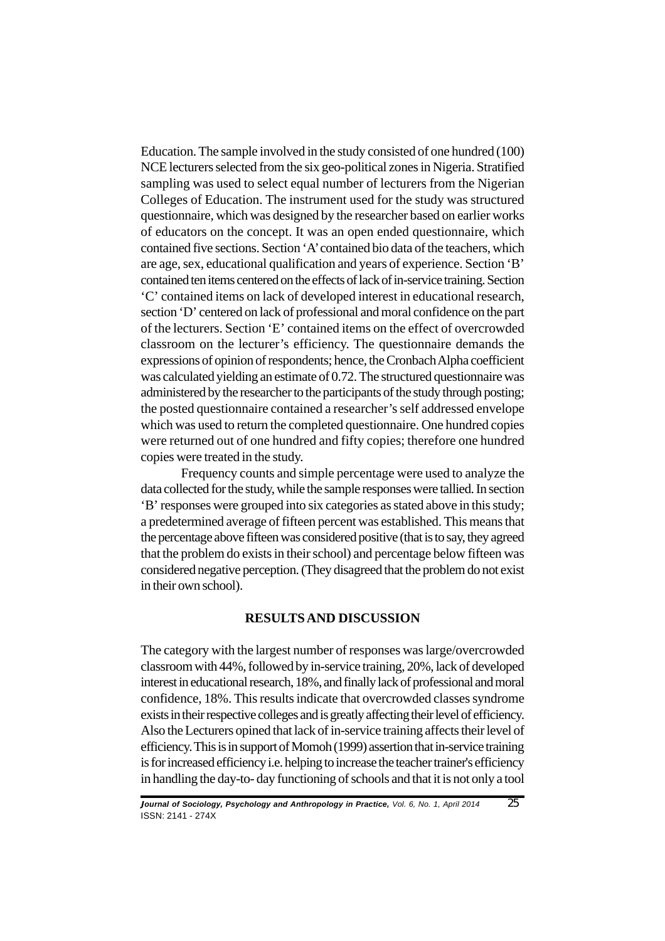Education. The sample involved in the study consisted of one hundred (100) NCE lecturers selected from the six geo-political zones in Nigeria. Stratified sampling was used to select equal number of lecturers from the Nigerian Colleges of Education. The instrument used for the study was structured questionnaire, which was designed by the researcher based on earlier works of educators on the concept. It was an open ended questionnaire, which contained five sections. Section 'A' contained bio data of the teachers, which are age, sex, educational qualification and years of experience. Section 'B' contained ten items centered on the effects of lack of in-service training. Section 'C' contained items on lack of developed interest in educational research, section 'D' centered on lack of professional and moral confidence on the part of the lecturers. Section 'E' contained items on the effect of overcrowded classroom on the lecturer's efficiency. The questionnaire demands the expressions of opinion of respondents; hence, the Cronbach Alpha coefficient was calculated yielding an estimate of 0.72. The structured questionnaire was administered by the researcher to the participants of the study through posting; the posted questionnaire contained a researcher's self addressed envelope which was used to return the completed questionnaire. One hundred copies were returned out of one hundred and fifty copies; therefore one hundred copies were treated in the study.

Frequency counts and simple percentage were used to analyze the data collected for the study, while the sample responses were tallied. In section 'B' responses were grouped into six categories as stated above in this study; a predetermined average of fifteen percent was established. This means that the percentage above fifteen was considered positive (that is to say, they agreed that the problem do exists in their school) and percentage below fifteen was considered negative perception. (They disagreed that the problem do not exist in their own school).

## **RESULTS AND DISCUSSION**

The category with the largest number of responses was large/overcrowded classroom with 44%, followed by in-service training, 20%, lack of developed interest in educational research, 18%, and finally lack of professional and moral confidence, 18%. This results indicate that overcrowded classes syndrome exists in their respective colleges and is greatly affecting their level of efficiency. Also the Lecturers opined that lack of in-service training affects their level of efficiency. This is in support of Momoh (1999) assertion that in-service training is for increased efficiency i.e. helping to increase the teacher trainer's efficiency in handling the day-to- day functioning of schools and that it is not only a tool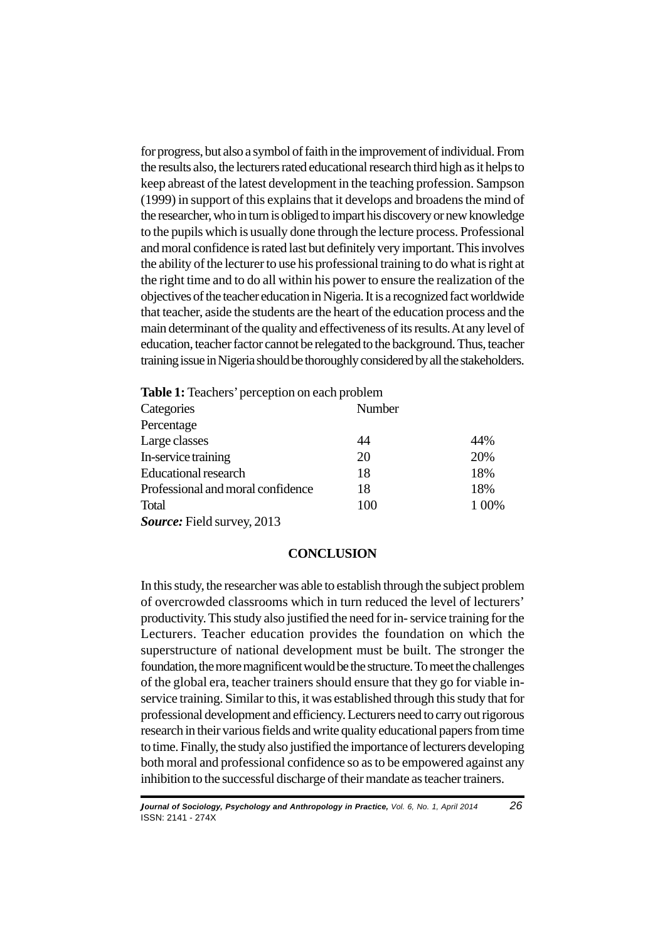for progress, but also a symbol of faith in the improvement of individual. From the results also, the lecturers rated educational research third high as it helps to keep abreast of the latest development in the teaching profession. Sampson (1999) in support of this explains that it develops and broadens the mind of the researcher, who in turn is obliged to impart his discovery or new knowledge to the pupils which is usually done through the lecture process. Professional and moral confidence is rated last but definitely very important. This involves the ability of the lecturer to use his professional training to do what is right at the right time and to do all within his power to ensure the realization of the objectives of the teacher education in Nigeria. It is a recognized fact worldwide that teacher, aside the students are the heart of the education process and the main determinant of the quality and effectiveness of its results. At any level of education, teacher factor cannot be relegated to the background. Thus, teacher training issue in Nigeria should be thoroughly considered by all the stakeholders.

| <b>Table 1:</b> Teachers' perception on each problem |        |     |
|------------------------------------------------------|--------|-----|
| Categories                                           | Number |     |
| Percentage                                           |        |     |
| Large classes                                        | 44     | 44% |
| In-service training                                  | 20     | 20% |
| <b>Educational research</b>                          | 18     | 18% |
| Professional and moral confidence                    | 18     | 18% |
| Total                                                | 100    | 00% |

*Source:* Field survey, 2013

## **CONCLUSION**

In this study, the researcher was able to establish through the subject problem of overcrowded classrooms which in turn reduced the level of lecturers' productivity. This study also justified the need for in- service training for the Lecturers. Teacher education provides the foundation on which the superstructure of national development must be built. The stronger the foundation, the more magnificent would be the structure. To meet the challenges of the global era, teacher trainers should ensure that they go for viable inservice training. Similar to this, it was established through this study that for professional development and efficiency. Lecturers need to carry out rigorous research in their various fields and write quality educational papers from time to time. Finally, the study also justified the importance of lecturers developing both moral and professional confidence so as to be empowered against any inhibition to the successful discharge of their mandate as teacher trainers.